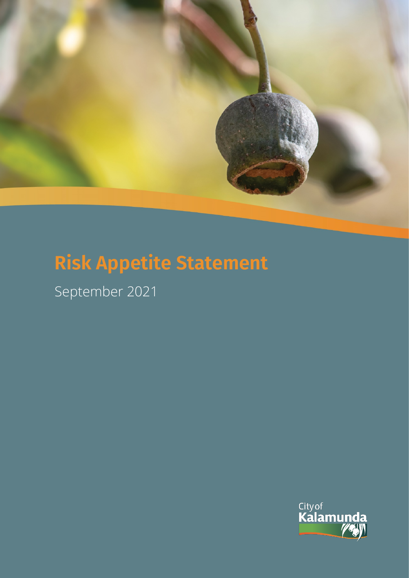

# **Risk Appetite Statement**

September 2021

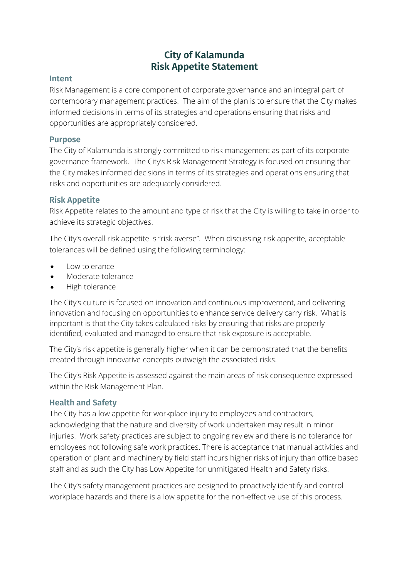## **City of Kalamunda Risk Appetite Statement**

#### **Intent**

Risk Management is a core component of corporate governance and an integral part of contemporary management practices. The aim of the plan is to ensure that the City makes informed decisions in terms of its strategies and operations ensuring that risks and opportunities are appropriately considered.

#### **Purpose**

The City of Kalamunda is strongly committed to risk management as part of its corporate governance framework. The City's Risk Management Strategy is focused on ensuring that the City makes informed decisions in terms of its strategies and operations ensuring that risks and opportunities are adequately considered.

#### **Risk Appetite**

Risk Appetite relates to the amount and type of risk that the City is willing to take in order to achieve its strategic objectives.

The City's overall risk appetite is "risk averse''. When discussing risk appetite, acceptable tolerances will be defined using the following terminology:

- Low tolerance
- Moderate tolerance
- High tolerance

The City's culture is focused on innovation and continuous improvement, and delivering innovation and focusing on opportunities to enhance service delivery carry risk. What is important is that the City takes calculated risks by ensuring that risks are properly identified, evaluated and managed to ensure that risk exposure is acceptable.

The City's risk appetite is generally higher when it can be demonstrated that the benefits created through innovative concepts outweigh the associated risks.

The City's Risk Appetite is assessed against the main areas of risk consequence expressed within the Risk Management Plan.

#### **Health and Safety**

The City has a low appetite for workplace injury to employees and contractors, acknowledging that the nature and diversity of work undertaken may result in minor injuries. Work safety practices are subject to ongoing review and there is no tolerance for employees not following safe work practices. There is acceptance that manual activities and operation of plant and machinery by field staff incurs higher risks of injury than office based staff and as such the City has Low Appetite for unmitigated Health and Safety risks.

The City's safety management practices are designed to proactively identify and control workplace hazards and there is a low appetite for the non-effective use of this process.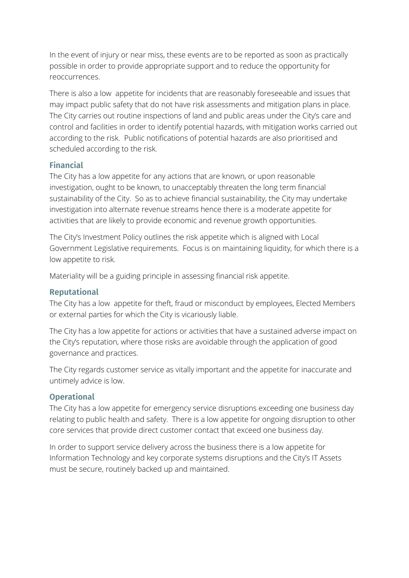In the event of injury or near miss, these events are to be reported as soon as practically possible in order to provide appropriate support and to reduce the opportunity for reoccurrences.

There is also a low appetite for incidents that are reasonably foreseeable and issues that may impact public safety that do not have risk assessments and mitigation plans in place. The City carries out routine inspections of land and public areas under the City's care and control and facilities in order to identify potential hazards, with mitigation works carried out according to the risk. Public notifications of potential hazards are also prioritised and scheduled according to the risk.

#### **Financial**

The City has a low appetite for any actions that are known, or upon reasonable investigation, ought to be known, to unacceptably threaten the long term financial sustainability of the City. So as to achieve financial sustainability, the City may undertake investigation into alternate revenue streams hence there is a moderate appetite for activities that are likely to provide economic and revenue growth opportunities.

The City's Investment Policy outlines the risk appetite which is aligned with Local Government Legislative requirements. Focus is on maintaining liquidity, for which there is a low appetite to risk.

Materiality will be a guiding principle in assessing financial risk appetite.

#### **Reputational**

The City has a low appetite for theft, fraud or misconduct by employees, Elected Members or external parties for which the City is vicariously liable.

The City has a low appetite for actions or activities that have a sustained adverse impact on the City's reputation, where those risks are avoidable through the application of good governance and practices.

The City regards customer service as vitally important and the appetite for inaccurate and untimely advice is low.

### **Operational**

The City has a low appetite for emergency service disruptions exceeding one business day relating to public health and safety. There is a low appetite for ongoing disruption to other core services that provide direct customer contact that exceed one business day.

In order to support service delivery across the business there is a low appetite for Information Technology and key corporate systems disruptions and the City's IT Assets must be secure, routinely backed up and maintained.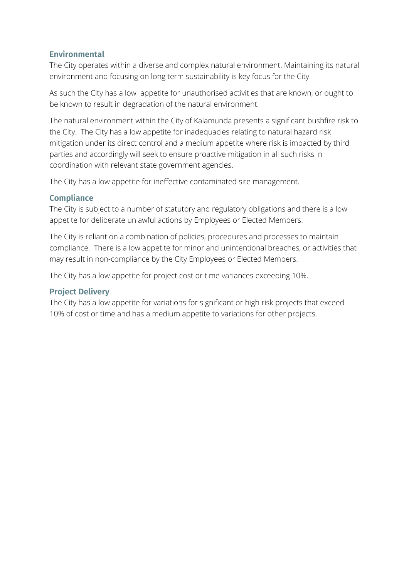#### **Environmental**

The City operates within a diverse and complex natural environment. Maintaining its natural environment and focusing on long term sustainability is key focus for the City.

As such the City has a low appetite for unauthorised activities that are known, or ought to be known to result in degradation of the natural environment.

The natural environment within the City of Kalamunda presents a significant bushfire risk to the City. The City has a low appetite for inadequacies relating to natural hazard risk mitigation under its direct control and a medium appetite where risk is impacted by third parties and accordingly will seek to ensure proactive mitigation in all such risks in coordination with relevant state government agencies.

The City has a low appetite for ineffective contaminated site management.

#### **Compliance**

The City is subject to a number of statutory and regulatory obligations and there is a low appetite for deliberate unlawful actions by Employees or Elected Members.

The City is reliant on a combination of policies, procedures and processes to maintain compliance. There is a low appetite for minor and unintentional breaches, or activities that may result in non-compliance by the City Employees or Elected Members.

The City has a low appetite for project cost or time variances exceeding 10%.

#### **Project Delivery**

The City has a low appetite for variations for significant or high risk projects that exceed 10% of cost or time and has a medium appetite to variations for other projects.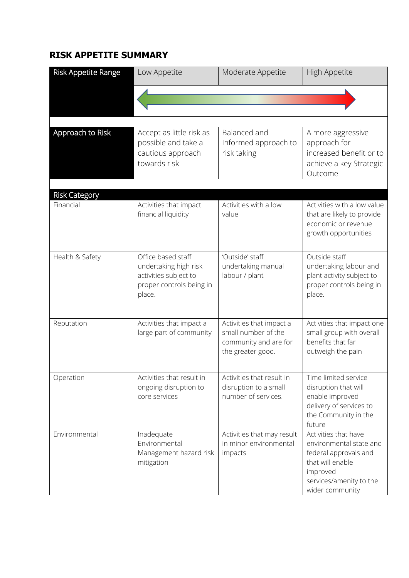## **RISK APPETITE SUMMARY**

| <b>Risk Appetite Range</b>        | Low Appetite                                                                                               | Moderate Appetite                                                                             | High Appetite                                                                                                                                          |
|-----------------------------------|------------------------------------------------------------------------------------------------------------|-----------------------------------------------------------------------------------------------|--------------------------------------------------------------------------------------------------------------------------------------------------------|
|                                   |                                                                                                            |                                                                                               |                                                                                                                                                        |
|                                   |                                                                                                            |                                                                                               |                                                                                                                                                        |
| Approach to Risk                  | Accept as little risk as<br>possible and take a<br>cautious approach<br>towards risk                       | Balanced and<br>Informed approach to<br>risk taking                                           | A more aggressive<br>approach for<br>increased benefit or to<br>achieve a key Strategic<br>Outcome                                                     |
|                                   |                                                                                                            |                                                                                               |                                                                                                                                                        |
| <b>Risk Category</b><br>Financial | Activities that impact<br>financial liquidity                                                              | Activities with a low<br>value                                                                | Activities with a low value<br>that are likely to provide<br>economic or revenue<br>growth opportunities                                               |
| Health & Safety                   | Office based staff<br>undertaking high risk<br>activities subject to<br>proper controls being in<br>place. | 'Outside' staff<br>undertaking manual<br>labour / plant                                       | Outside staff<br>undertaking labour and<br>plant activity subject to<br>proper controls being in<br>place.                                             |
| Reputation                        | Activities that impact a<br>large part of community                                                        | Activities that impact a<br>small number of the<br>community and are for<br>the greater good. | Activities that impact one<br>small group with overall<br>benefits that far<br>outweigh the pain                                                       |
| Operation                         | Activities that result in<br>ongoing disruption to<br>core services                                        | Activities that result in<br>disruption to a small<br>number of services.                     | Time limited service<br>disruption that will<br>enable improved<br>delivery of services to<br>the Community in the<br>future                           |
| Environmental                     | Inadequate<br>Environmental<br>Management hazard risk<br>mitigation                                        | Activities that may result<br>in minor environmental<br>impacts                               | Activities that have<br>environmental state and<br>federal approvals and<br>that will enable<br>improved<br>services/amenity to the<br>wider community |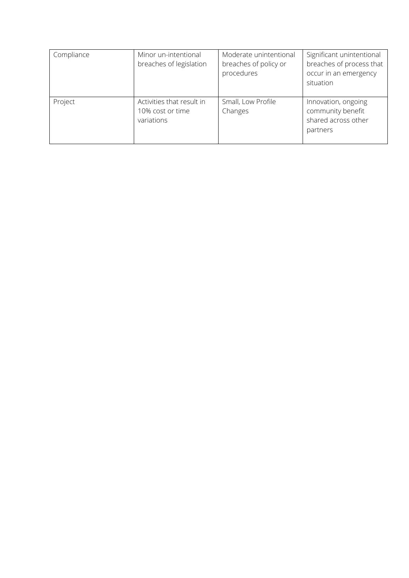| Compliance | Minor un-intentional<br>breaches of legislation             | Moderate unintentional<br>breaches of policy or<br>procedures | Significant unintentional<br>breaches of process that<br>occur in an emergency<br>situation |
|------------|-------------------------------------------------------------|---------------------------------------------------------------|---------------------------------------------------------------------------------------------|
| Project    | Activities that result in<br>10% cost or time<br>variations | Small, Low Profile<br>Changes                                 | Innovation, ongoing<br>community benefit<br>shared across other<br>partners                 |